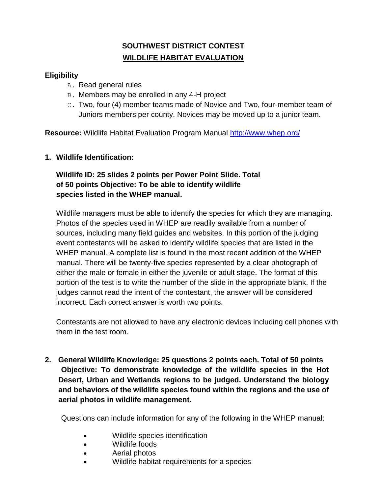# **SOUTHWEST DISTRICT CONTEST WILDLIFE HABITAT EVALUATION**

# **Eligibility**

- A. Read general rules
- B. Members may be enrolled in any 4-H project
- C. Two, four (4) member teams made of Novice and Two, four-member team of Juniors members per county. Novices may be moved up to a junior team.

**Resource:** Wildlife Habitat Evaluation Program Manual<http://www.whep.org/>

## **1. Wildlife Identification:**

# **Wildlife ID: 25 slides 2 points per Power Point Slide. Total of 50 points Objective: To be able to identify wildlife species listed in the WHEP manual.**

Wildlife managers must be able to identify the species for which they are managing. Photos of the species used in WHEP are readily available from a number of sources, including many field guides and websites. In this portion of the judging event contestants will be asked to identify wildlife species that are listed in the WHEP manual. A complete list is found in the most recent addition of the WHEP manual. There will be twenty-five species represented by a clear photograph of either the male or female in either the juvenile or adult stage. The format of this portion of the test is to write the number of the slide in the appropriate blank. If the judges cannot read the intent of the contestant, the answer will be considered incorrect. Each correct answer is worth two points.

Contestants are not allowed to have any electronic devices including cell phones with them in the test room.

**2. General Wildlife Knowledge: 25 questions 2 points each. Total of 50 points Objective: To demonstrate knowledge of the wildlife species in the Hot Desert, Urban and Wetlands regions to be judged. Understand the biology and behaviors of the wildlife species found within the regions and the use of aerial photos in wildlife management.**

Questions can include information for any of the following in the WHEP manual:

- Wildlife species identification
- Wildlife foods
- Aerial photos
- Wildlife habitat requirements for a species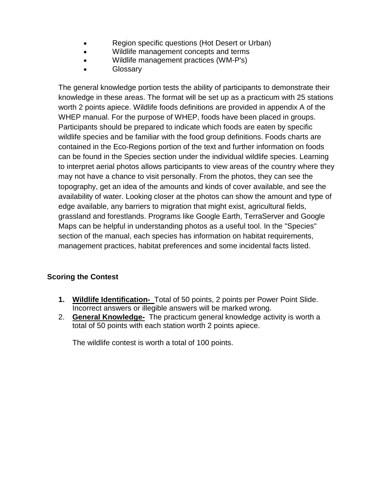- Region specific questions (Hot Desert or Urban)
- Wildlife management concepts and terms
- Wildlife management practices (WM-P's)
- Glossary

The general knowledge portion tests the ability of participants to demonstrate their knowledge in these areas. The format will be set up as a practicum with 25 stations worth 2 points apiece. Wildlife foods definitions are provided in appendix A of the WHEP manual. For the purpose of WHEP, foods have been placed in groups. Participants should be prepared to indicate which foods are eaten by specific wildlife species and be familiar with the food group definitions. Foods charts are contained in the Eco-Regions portion of the text and further information on foods can be found in the Species section under the individual wildlife species. Learning to interpret aerial photos allows participants to view areas of the country where they may not have a chance to visit personally. From the photos, they can see the topography, get an idea of the amounts and kinds of cover available, and see the availability of water. Looking closer at the photos can show the amount and type of edge available, any barriers to migration that might exist, agricultural fields, grassland and forestlands. Programs like Google Earth, TerraServer and Google Maps can be helpful in understanding photos as a useful tool. In the "Species" section of the manual, each species has information on habitat requirements, management practices, habitat preferences and some incidental facts listed.

# **Scoring the Contest**

- **1. Wildlife Identification-** Total of 50 points, 2 points per Power Point Slide. Incorrect answers or illegible answers will be marked wrong.
- 2. **General Knowledge-** The practicum general knowledge activity is worth a total of 50 points with each station worth 2 points apiece.

The wildlife contest is worth a total of 100 points.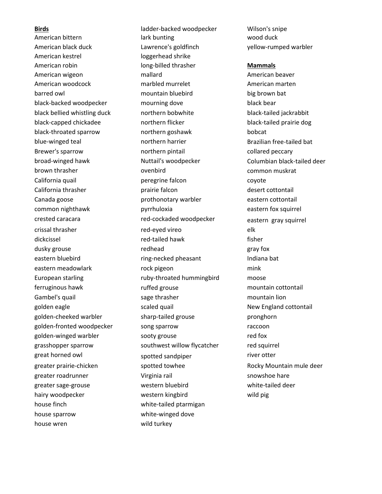American kestrel loggerhead shrike house finch white-tailed ptarmigan house sparrow house sparrow white-winged dove house wren wild turkey

**Birds Birds ladder-backed woodpecker Wilson's snipe** American bittern and the lark bunting and the control wood duck American black duck Lawrence's goldfinch yellow-rumped warbler American robin long-billed thrasher **Mammals** American wigeon mallard American beaver American woodcock marbled murrelet American marten barred owl mountain bluebird big brown bat black-backed woodpecker mourning dove black bear black bellied whistling duck northern bobwhite black-tailed jackrabbit black-capped chickadee northern flicker black-tailed prairie dog black-throated sparrow northern goshawk bobcat blue-winged teal **northern harrier** Brazilian free-tailed bat Brewer's sparrow example and the northern pintail collared peccary broad-winged hawk **Nuttail's woodpecker** Columbian black-tailed deer brown thrasher ovenbird common muskrat California quail peregrine falcon coyote California thrasher prairie falcon desert cottontail Canada goose prothonotary warbler eastern cottontail common nighthawk pyrrhuloxia eastern fox squirrel crested caracara red-cockaded woodpecker eastern gray squirrel crissal thrasher red-eyed vireo elk dickcissel red-tailed hawk fisher dusky grouse the control of the redhead and gray fox the control of the control of the control of the control o eastern bluebird example ring-necked pheasant and Indiana bat eastern meadowlark and the rock pigeon and mink that mink European starling example and the ruby-throated hummingbird and moose ferruginous hawk ruffed grouse mountain cottontail Gambel's quail is a sage thrasher mountain lion mountain lion golden eagle scaled quail now scaled outbox scaled with the scaled value of the New England cottontail golden-cheeked warbler sharp-tailed grouse pronghorn golden-fronted woodpecker song sparrow metal control of the raccoon golden-winged warbler sooty grouse red fox grasshopper sparrow southwest willow flycatcher red squirrel great horned owl spotted sandpiper and spotted sandpiper structure river otter greater prairie-chicken spotted towhee Rocky Mountain mule deer greater roadrunner and virginia rail snowshoe hare virginia rail snowshoe hare greater sage-grouse western bluebird white-tailed deer hairy woodpecker western kingbird wild pig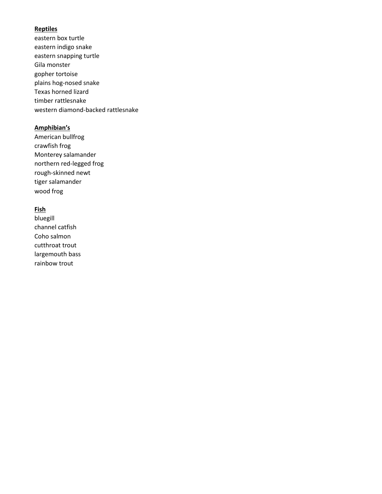### **Reptiles**

eastern box turtle eastern indigo snake eastern snapping turtle Gila monster gopher tortoise plains hog-nosed snake Texas horned lizard timber rattlesnake western diamond-backed rattlesnake

#### **Amphibian's**

American bullfrog crawfish frog Monterey salamander northern red-legged frog rough-skinned newt tiger salamander wood frog

#### **Fish**

bluegill channel catfish Coho salmon cutthroat trout largemouth bass rainbow trout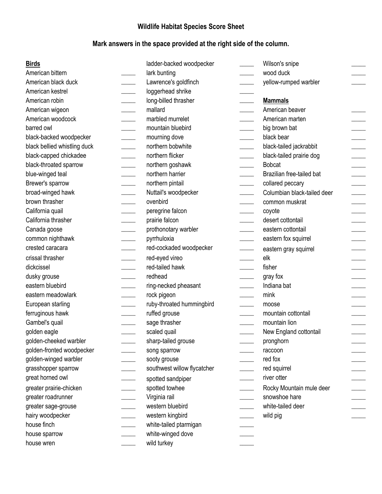# **Wildlife Habitat Species Score Sheet**

# **Mark answers in the space provided at the right side of the column.**

| <b>Birds</b>                 | ladder-backed woodpecker                       | Wilson's snipe                       |
|------------------------------|------------------------------------------------|--------------------------------------|
| American bittern             | lark bunting                                   | wood duck                            |
| American black duck          | Lawrence's goldfinch                           | yellow-rumped warbler                |
| American kestrel             | loggerhead shrike                              |                                      |
| American robin               | long-billed thrasher                           | <b>Mammals</b>                       |
| American wigeon              | mallard                                        | American beaver                      |
| American woodcock            | marbled murrelet                               | American marten                      |
| barred owl                   | mountain bluebird                              | big brown bat                        |
| black-backed woodpecker      | mourning dove                                  | black bear                           |
| black bellied whistling duck | northern bobwhite                              | black-tailed jackrabbit              |
| black-capped chickadee       | northern flicker<br>$\mathcal{L}^{\text{max}}$ | black-tailed prairie dog             |
| black-throated sparrow       | northern goshawk                               | <b>Bobcat</b>                        |
| blue-winged teal             | northern harrier                               | Brazilian free-tailed bat            |
| Brewer's sparrow             | northern pintail                               | collared peccary                     |
| broad-winged hawk            | Nuttail's woodpecker                           | Columbian black-tailed deer          |
| brown thrasher               | ovenbird                                       | common muskrat                       |
| California quail             | peregrine falcon                               | coyote                               |
| California thrasher          | prairie falcon                                 | desert cottontail                    |
| Canada goose                 | prothonotary warbler                           | eastern cottontail                   |
| common nighthawk             | pyrrhuloxia                                    | eastern fox squirrel                 |
| crested caracara             | red-cockaded woodpecker                        | eastern gray squirrel                |
| crissal thrasher             | red-eyed vireo                                 | elk                                  |
| dickcissel                   | red-tailed hawk                                | fisher                               |
| dusky grouse                 | redhead                                        | gray fox<br>$\overline{\phantom{a}}$ |
| eastern bluebird             | ring-necked pheasant                           | Indiana bat                          |
| eastern meadowlark           | rock pigeon                                    | mink                                 |
| European starling            | ruby-throated hummingbird                      | moose                                |
| ferruginous hawk             | ruffed grouse                                  | mountain cottontail                  |
| Gambel's quail               | sage thrasher                                  | mountain lion                        |
| golden eagle                 | scaled quail                                   | New England cottontail               |
| golden-cheeked warbler       | sharp-tailed grouse                            | pronghorn                            |
| golden-fronted woodpecker    | song sparrow                                   | raccoon                              |
| golden-winged warbler        | sooty grouse                                   | red fox                              |
| grasshopper sparrow          | southwest willow flycatcher                    | red squirrel                         |
| great horned owl             | spotted sandpiper                              | river otter                          |
| greater prairie-chicken      | spotted towhee                                 | Rocky Mountain mule deer             |
| greater roadrunner           | Virginia rail                                  | snowshoe hare                        |
| greater sage-grouse          | western bluebird                               | white-tailed deer                    |
| hairy woodpecker             | western kingbird                               | wild pig                             |
| house finch                  | white-tailed ptarmigan                         |                                      |
| house sparrow                | white-winged dove                              |                                      |
| house wren                   | wild turkey                                    |                                      |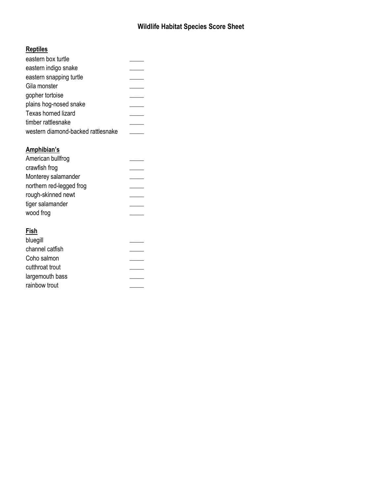# **Wildlife Habitat Species Score Sheet**

# **Reptiles**

| eastern box turtle                 |  |
|------------------------------------|--|
| eastern indigo snake               |  |
| eastern snapping turtle            |  |
| Gila monster                       |  |
| gopher tortoise                    |  |
| plains hog-nosed snake             |  |
| Texas horned lizard                |  |
| timber rattlesnake                 |  |
| western diamond-backed rattlesnake |  |
|                                    |  |

# **Amphibian's**

| American bullfrog        |  |
|--------------------------|--|
| crawfish frog            |  |
| Monterey salamander      |  |
| northern red-legged frog |  |
| rough-skinned newt       |  |
| tiger salamander         |  |
| wood frog                |  |
|                          |  |

# **Fish**

| bluegill        |  |
|-----------------|--|
| channel catfish |  |
| Coho salmon     |  |
| cutthroat trout |  |
| largemouth bass |  |
| rainbow trout   |  |